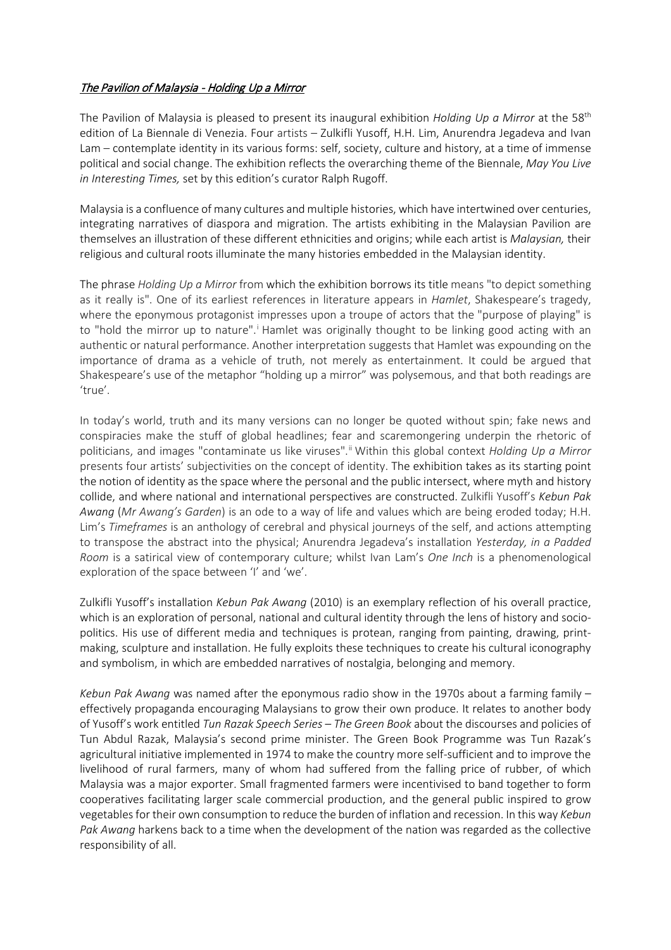## The Pavilion of Malaysia - Holding Up a Mirror

The Pavilion of Malaysia is pleased to present its inaugural exhibition *Holding Up a Mirror* at the 58th edition of La Biennale di Venezia. Four artists – Zulkifli Yusoff, H.H. Lim, Anurendra Jegadeva and Ivan Lam – contemplate identity in its various forms: self, society, culture and history, at a time of immense political and social change. The exhibition reflects the overarching theme of the Biennale, *May You Live in Interesting Times,* set by this edition's curator Ralph Rugoff.

Malaysia is a confluence of many cultures and multiple histories, which have intertwined over centuries, integrating narratives of diaspora and migration. The artists exhibiting in the Malaysian Pavilion are themselves an illustration of these different ethnicities and origins; while each artist is *Malaysian,* their religious and cultural roots illuminate the many histories embedded in the Malaysian identity.

The phrase *Holding Up a Mirror* from which the exhibition borrows its title means "to depict something as it really is". One of its earliest references in literature appears in *Hamlet*, Shakespeare's tragedy, where the eponymous protagonist impresses upon a troupe of actors that the "purpose of playing" is to "hold the m[i](#page-5-0)rror up to nature".<sup>i</sup> Hamlet was originally thought to be linking good acting with an authentic or natural performance. Another interpretation suggests that Hamlet was expounding on the importance of drama as a vehicle of truth, not merely as entertainment. It could be argued that Shakespeare's use of the metaphor "holding up a mirror" was polysemous, and that both readings are 'true'.

In today's world, truth and its many versions can no longer be quoted without spin; fake news and conspiracies make the stuff of global headlines; fear and scaremongering underpin the rhetoric of politicians, and images "contaminate us like viruses".<sup>[ii](#page-5-1)</sup> Within this global context *Holding Up a Mirror* presents four artists' subjectivities on the concept of identity. The exhibition takes as its starting point the notion of identity as the space where the personal and the public intersect, where myth and history collide, and where national and international perspectives are constructed. Zulkifli Yusoff's *Kebun Pak Awang* (*Mr Awang's Garden*) is an ode to a way of life and values which are being eroded today; H.H. Lim's *Timeframes* is an anthology of cerebral and physical journeys of the self, and actions attempting to transpose the abstract into the physical; Anurendra Jegadeva's installation *Yesterday, in a Padded Room* is a satirical view of contemporary culture; whilst Ivan Lam's *One Inch* is a phenomenological exploration of the space between 'I' and 'we'.

Zulkifli Yusoff's installation *Kebun Pak Awang* (2010) is an exemplary reflection of his overall practice, which is an exploration of personal, national and cultural identity through the lens of history and sociopolitics. His use of different media and techniques is protean, ranging from painting, drawing, printmaking, sculpture and installation. He fully exploits these techniques to create his cultural iconography and symbolism, in which are embedded narratives of nostalgia, belonging and memory.

*Kebun Pak Awang* was named after the eponymous radio show in the 1970s about a farming family – effectively propaganda encouraging Malaysians to grow their own produce. It relates to another body of Yusoff's work entitled *Tun Razak Speech Series – The Green Book* about the discourses and policies of Tun Abdul Razak, Malaysia's second prime minister. The Green Book Programme was Tun Razak's agricultural initiative implemented in 1974 to make the country more self-sufficient and to improve the livelihood of rural farmers, many of whom had suffered from the falling price of rubber, of which Malaysia was a major exporter. Small fragmented farmers were incentivised to band together to form cooperatives facilitating larger scale commercial production, and the general public inspired to grow vegetables for their own consumption to reduce the burden of inflation and recession. In this way *Kebun Pak Awang* harkens back to a time when the development of the nation was regarded as the collective responsibility of all.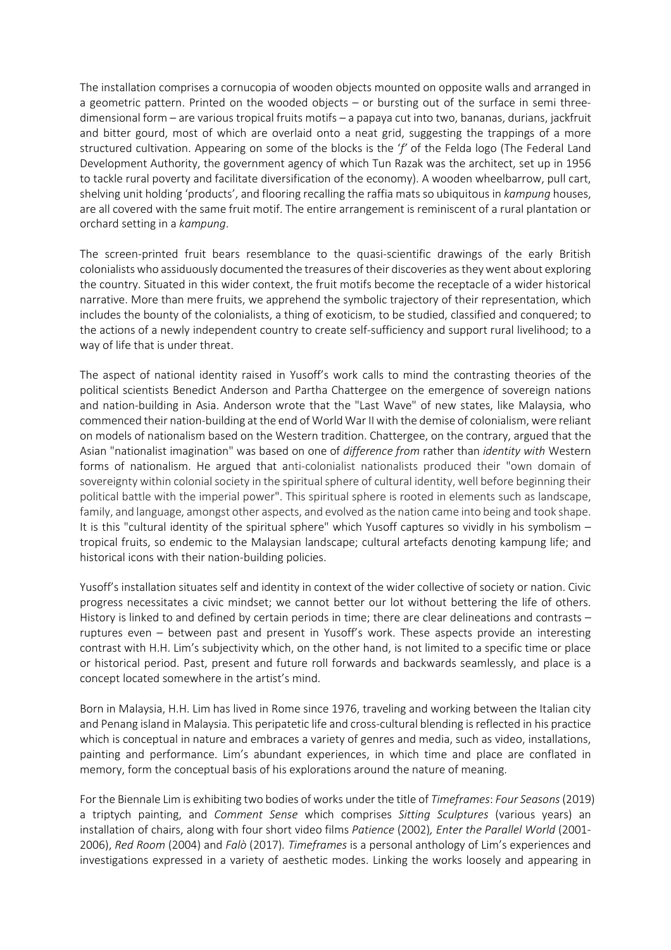The installation comprises a cornucopia of wooden objects mounted on opposite walls and arranged in a geometric pattern. Printed on the wooded objects – or bursting out of the surface in semi threedimensional form – are various tropical fruits motifs – a papaya cut into two, bananas, durians, jackfruit and bitter gourd, most of which are overlaid onto a neat grid, suggesting the trappings of a more structured cultivation. Appearing on some of the blocks is the '*f'* of the Felda logo (The Federal Land Development Authority, the government agency of which Tun Razak was the architect, set up in 1956 to tackle rural poverty and facilitate diversification of the economy). A wooden wheelbarrow, pull cart, shelving unit holding 'products', and flooring recalling the raffia mats so ubiquitous in *kampung* houses, are all covered with the same fruit motif. The entire arrangement is reminiscent of a rural plantation or orchard setting in a *kampung*.

The screen-printed fruit bears resemblance to the quasi-scientific drawings of the early British colonialists who assiduously documented the treasures of their discoveries as they went about exploring the country. Situated in this wider context, the fruit motifs become the receptacle of a wider historical narrative. More than mere fruits, we apprehend the symbolic trajectory of their representation, which includes the bounty of the colonialists, a thing of exoticism, to be studied, classified and conquered; to the actions of a newly independent country to create self-sufficiency and support rural livelihood; to a way of life that is under threat.

The aspect of national identity raised in Yusoff's work calls to mind the contrasting theories of the political scientists Benedict Anderson and Partha Chattergee on the emergence of sovereign nations and nation-building in Asia. Anderson wrote that the "Last Wave" of new states, like Malaysia, who commenced their nation-building at the end of World War II with the demise of colonialism, were reliant on models of nationalism based on the Western tradition. Chattergee, on the contrary, argued that the Asian "nationalist imagination" was based on one of *difference from* rather than *identity with* Western forms of nationalism. He argued that anti-colonialist nationalists produced their "own domain of sovereignty within colonial society in the spiritual sphere of cultural identity, well before beginning their political battle with the imperial power". This spiritual sphere is rooted in elements such as landscape, family, and language, amongst other aspects, and evolved as the nation came into being and took shape. It is this "cultural identity of the spiritual sphere" which Yusoff captures so vividly in his symbolism – tropical fruits, so endemic to the Malaysian landscape; cultural artefacts denoting kampung life; and historical icons with their nation-building policies.

Yusoff's installation situates self and identity in context of the wider collective of society or nation. Civic progress necessitates a civic mindset; we cannot better our lot without bettering the life of others. History is linked to and defined by certain periods in time; there are clear delineations and contrasts – ruptures even – between past and present in Yusoff's work. These aspects provide an interesting contrast with H.H. Lim's subjectivity which, on the other hand, is not limited to a specific time or place or historical period. Past, present and future roll forwards and backwards seamlessly, and place is a concept located somewhere in the artist's mind.

Born in Malaysia, H.H. Lim has lived in Rome since 1976, traveling and working between the Italian city and Penang island in Malaysia. This peripatetic life and cross-cultural blending is reflected in his practice which is conceptual in nature and embraces a variety of genres and media, such as video, installations, painting and performance. Lim's abundant experiences, in which time and place are conflated in memory, form the conceptual basis of his explorations around the nature of meaning.

For the Biennale Lim is exhibiting two bodies of works under the title of *Timeframes*: *Four Seasons* (2019) a triptych painting, and *Comment Sense* which comprises *Sitting Sculptures* (various years) an installation of chairs, along with four short video films *Patience* (2002)*, Enter the Parallel World* (2001- 2006), *Red Room* (2004) and *Falò* (2017)*. Timeframes* is a personal anthology of Lim's experiences and investigations expressed in a variety of aesthetic modes. Linking the works loosely and appearing in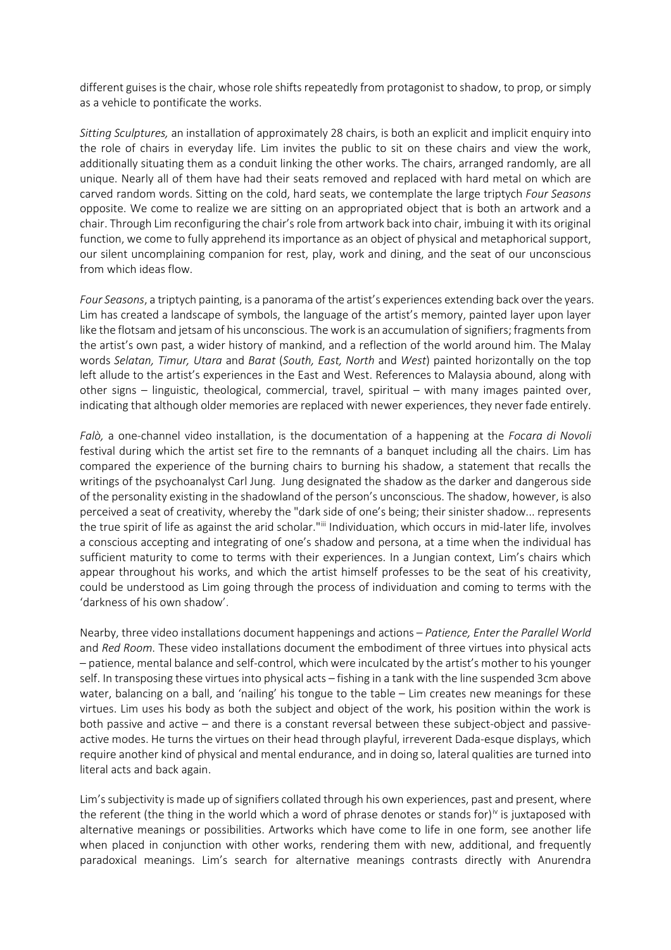different guises is the chair, whose role shifts repeatedly from protagonist to shadow, to prop, or simply as a vehicle to pontificate the works.

*Sitting Sculptures,* an installation of approximately 28 chairs, is both an explicit and implicit enquiry into the role of chairs in everyday life. Lim invites the public to sit on these chairs and view the work, additionally situating them as a conduit linking the other works. The chairs, arranged randomly, are all unique. Nearly all of them have had their seats removed and replaced with hard metal on which are carved random words. Sitting on the cold, hard seats, we contemplate the large triptych *Four Seasons* opposite. We come to realize we are sitting on an appropriated object that is both an artwork and a chair. Through Lim reconfiguring the chair's role from artwork back into chair, imbuing it with its original function, we come to fully apprehend its importance as an object of physical and metaphorical support, our silent uncomplaining companion for rest, play, work and dining, and the seat of our unconscious from which ideas flow.

*Four Seasons*, a triptych painting, is a panorama of the artist's experiences extending back over the years. Lim has created a landscape of symbols, the language of the artist's memory, painted layer upon layer like the flotsam and jetsam of his unconscious. The work is an accumulation of signifiers; fragments from the artist's own past, a wider history of mankind, and a reflection of the world around him. The Malay words *Selatan, Timur, Utara* and *Barat* (*South, East, North* and *West*) painted horizontally on the top left allude to the artist's experiences in the East and West. References to Malaysia abound, along with other signs – linguistic, theological, commercial, travel, spiritual – with many images painted over, indicating that although older memories are replaced with newer experiences, they never fade entirely.

*Falò,* a one-channel video installation, is the documentation of a happening at the *Focara di Novoli* festival during which the artist set fire to the remnants of a banquet including all the chairs. Lim has compared the experience of the burning chairs to burning his shadow, a statement that recalls the writings of the psychoanalyst Carl Jung. Jung designated the shadow as the darker and dangerous side of the personality existing in the shadowland of the person's unconscious. The shadow, however, is also perceived a seat of creativity, whereby the "dark side of one's being; their sinister shadow... represents the true spirit of life as against the arid scholar."<sup>[iii](#page-5-2)</sup> Individuation, which occurs in mid-later life, involves a conscious accepting and integrating of one's shadow and persona, at a time when the individual has sufficient maturity to come to terms with their experiences. In a Jungian context, Lim's chairs which appear throughout his works, and which the artist himself professes to be the seat of his creativity, could be understood as Lim going through the process of individuation and coming to terms with the 'darkness of his own shadow'.

Nearby, three video installations document happenings and actions – *Patience, Enter the Parallel World*  and *Red Room*. These video installations document the embodiment of three virtues into physical acts – patience, mental balance and self-control, which were inculcated by the artist's mother to his younger self. In transposing these virtues into physical acts – fishing in a tank with the line suspended 3cm above water, balancing on a ball, and 'nailing' his tongue to the table – Lim creates new meanings for these virtues. Lim uses his body as both the subject and object of the work, his position within the work is both passive and active – and there is a constant reversal between these subject-object and passiveactive modes. He turns the virtues on their head through playful, irreverent Dada-esque displays, which require another kind of physical and mental endurance, and in doing so, lateral qualities are turned into literal acts and back again.

Lim's subjectivity is made up of signifiers collated through his own experiences, past and present, where the referent (the thing in the world which a word of phrase denotes or stands for)<sup> $\alpha$ </sup> is juxtaposed with alternative meanings or possibilities. Artworks which have come to life in one form, see another life when placed in conjunction with other works, rendering them with new, additional, and frequently paradoxical meanings. Lim's search for alternative meanings contrasts directly with Anurendra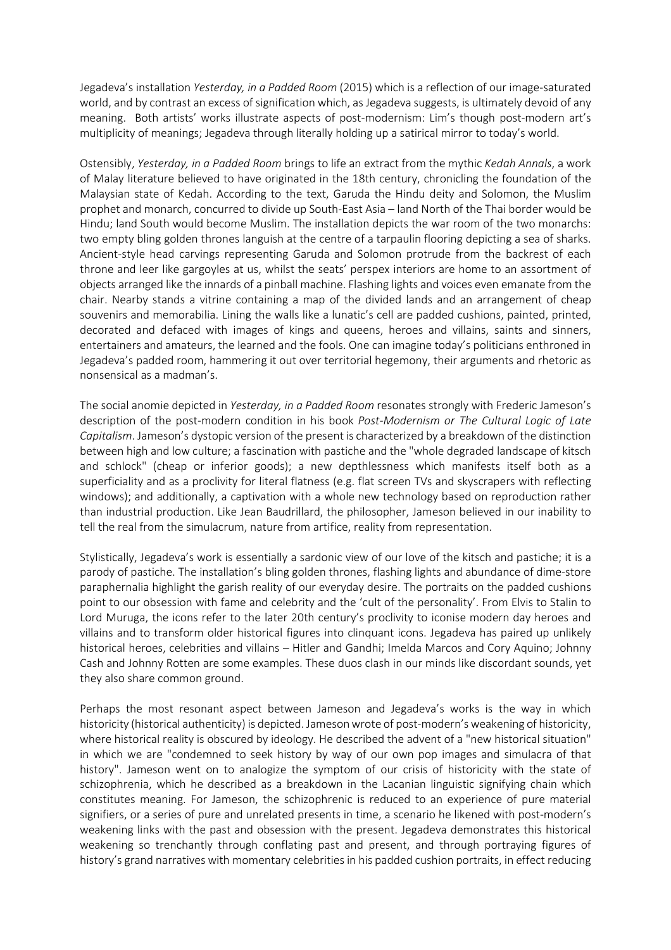Jegadeva's installation *Yesterday, in a Padded Room* (2015) which is a reflection of our image-saturated world, and by contrast an excess of signification which, as Jegadeva suggests, is ultimately devoid of any meaning. Both artists' works illustrate aspects of post-modernism: Lim's though post-modern art's multiplicity of meanings; Jegadeva through literally holding up a satirical mirror to today's world.

Ostensibly, *Yesterday, in a Padded Room* brings to life an extract from the mythic *Kedah Annals*, a work of Malay literature believed to have originated in the 18th century, chronicling the foundation of the Malaysian state of Kedah. According to the text, Garuda the Hindu deity and Solomon, the Muslim prophet and monarch, concurred to divide up South-East Asia – land North of the Thai border would be Hindu; land South would become Muslim. The installation depicts the war room of the two monarchs: two empty bling golden thrones languish at the centre of a tarpaulin flooring depicting a sea of sharks. Ancient-style head carvings representing Garuda and Solomon protrude from the backrest of each throne and leer like gargoyles at us, whilst the seats' perspex interiors are home to an assortment of objects arranged like the innards of a pinball machine. Flashing lights and voices even emanate from the chair. Nearby stands a vitrine containing a map of the divided lands and an arrangement of cheap souvenirs and memorabilia. Lining the walls like a lunatic's cell are padded cushions, painted, printed, decorated and defaced with images of kings and queens, heroes and villains, saints and sinners, entertainers and amateurs, the learned and the fools. One can imagine today's politicians enthroned in Jegadeva's padded room, hammering it out over territorial hegemony, their arguments and rhetoric as nonsensical as a madman's.

The social anomie depicted in *Yesterday, in a Padded Room* resonates strongly with Frederic Jameson's description of the post-modern condition in his book *Post-Modernism or The Cultural Logic of Late Capitalism*. Jameson's dystopic version of the present is characterized by a breakdown of the distinction between high and low culture; a fascination with pastiche and the "whole degraded landscape of kitsch and schlock" (cheap or inferior goods); a new depthlessness which manifests itself both as a superficiality and as a proclivity for literal flatness (e.g. flat screen TVs and skyscrapers with reflecting windows); and additionally, a captivation with a whole new technology based on reproduction rather than industrial production. Like Jean Baudrillard, the philosopher, Jameson believed in our inability to tell the real from the simulacrum, nature from artifice, reality from representation.

Stylistically, Jegadeva's work is essentially a sardonic view of our love of the kitsch and pastiche; it is a parody of pastiche. The installation's bling golden thrones, flashing lights and abundance of dime-store paraphernalia highlight the garish reality of our everyday desire. The portraits on the padded cushions point to our obsession with fame and celebrity and the 'cult of the personality'. From Elvis to Stalin to Lord Muruga, the icons refer to the later 20th century's proclivity to iconise modern day heroes and villains and to transform older historical figures into clinquant icons. Jegadeva has paired up unlikely historical heroes, celebrities and villains – Hitler and Gandhi; Imelda Marcos and Cory Aquino; Johnny Cash and Johnny Rotten are some examples. These duos clash in our minds like discordant sounds, yet they also share common ground.

Perhaps the most resonant aspect between Jameson and Jegadeva's works is the way in which historicity (historical authenticity) is depicted. Jameson wrote of post-modern's weakening of historicity, where historical reality is obscured by ideology. He described the advent of a "new historical situation" in which we are "condemned to seek history by way of our own pop images and simulacra of that history". Jameson went on to analogize the symptom of our crisis of historicity with the state of schizophrenia, which he described as a breakdown in the Lacanian linguistic signifying chain which constitutes meaning. For Jameson, the schizophrenic is reduced to an experience of pure material signifiers, or a series of pure and unrelated presents in time, a scenario he likened with post-modern's weakening links with the past and obsession with the present. Jegadeva demonstrates this historical weakening so trenchantly through conflating past and present, and through portraying figures of history's grand narratives with momentary celebrities in his padded cushion portraits, in effect reducing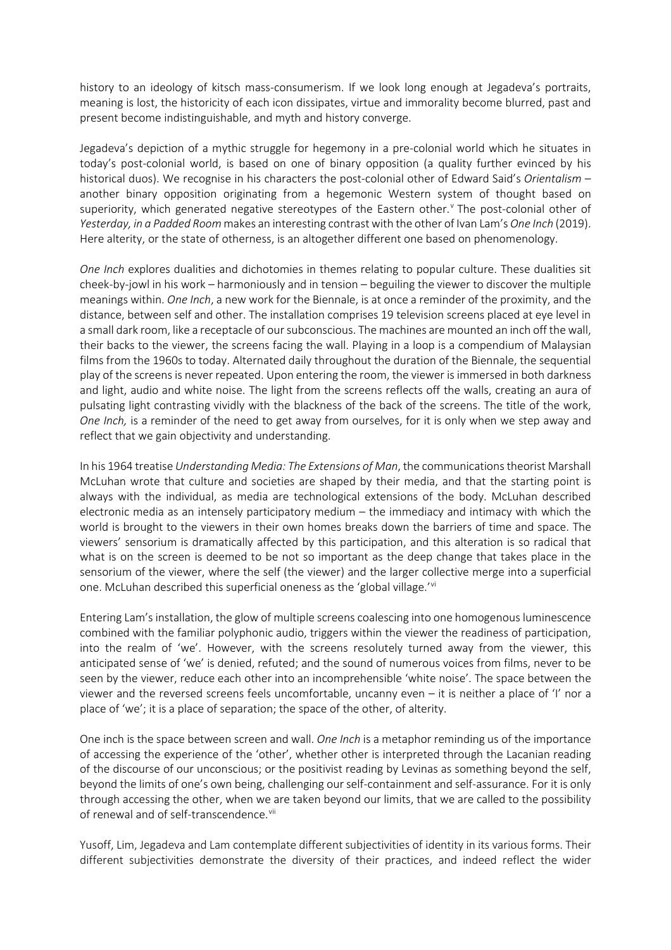history to an ideology of kitsch mass-consumerism. If we look long enough at Jegadeva's portraits, meaning is lost, the historicity of each icon dissipates, virtue and immorality become blurred, past and present become indistinguishable, and myth and history converge.

Jegadeva's depiction of a mythic struggle for hegemony in a pre-colonial world which he situates in today's post-colonial world, is based on one of binary opposition (a quality further evinced by his historical duos). We recognise in his characters the post-colonial other of Edward Said's *Orientalism* – another binary opposition originating from a hegemonic Western system of thought based on superiority, which generated negati[v](#page-5-4)e stereotypes of the Eastern other.<sup>v</sup> The post-colonial other of *Yesterday, in a Padded Room* makes an interesting contrast with the other of Ivan Lam's *One Inch* (2019). Here alterity, or the state of otherness, is an altogether different one based on phenomenology.

*One Inch* explores dualities and dichotomies in themes relating to popular culture. These dualities sit cheek-by-jowl in his work – harmoniously and in tension – beguiling the viewer to discover the multiple meanings within. *One Inch*, a new work for the Biennale, is at once a reminder of the proximity, and the distance, between self and other. The installation comprises 19 television screens placed at eye level in a small dark room, like a receptacle of our subconscious. The machines are mounted an inch off the wall, their backs to the viewer, the screens facing the wall. Playing in a loop is a compendium of Malaysian films from the 1960s to today. Alternated daily throughout the duration of the Biennale, the sequential play of the screens is never repeated. Upon entering the room, the viewer is immersed in both darkness and light, audio and white noise. The light from the screens reflects off the walls, creating an aura of pulsating light contrasting vividly with the blackness of the back of the screens. The title of the work, *One Inch,* is a reminder of the need to get away from ourselves, for it is only when we step away and reflect that we gain objectivity and understanding.

In his 1964 treatise *Understanding Media: The Extensions of Man*, the communications theorist Marshall McLuhan wrote that culture and societies are shaped by their media, and that the starting point is always with the individual, as media are technological extensions of the body. McLuhan described electronic media as an intensely participatory medium – the immediacy and intimacy with which the world is brought to the viewers in their own homes breaks down the barriers of time and space. The viewers' sensorium is dramatically affected by this participation, and this alteration is so radical that what is on the screen is deemed to be not so important as the deep change that takes place in the sensorium of the viewer, where the self (the viewer) and the larger collective merge into a superficial one. McLuhan described this superficial oneness as the 'global village.'[vi](#page-5-5)

Entering Lam's installation, the glow of multiple screens coalescing into one homogenous luminescence combined with the familiar polyphonic audio, triggers within the viewer the readiness of participation, into the realm of 'we'. However, with the screens resolutely turned away from the viewer, this anticipated sense of 'we' is denied, refuted; and the sound of numerous voices from films, never to be seen by the viewer, reduce each other into an incomprehensible 'white noise'. The space between the viewer and the reversed screens feels uncomfortable, uncanny even – it is neither a place of 'I' nor a place of 'we'; it is a place of separation; the space of the other, of alterity.

One inch is the space between screen and wall. *One Inch* is a metaphor reminding us of the importance of accessing the experience of the 'other', whether other is interpreted through the Lacanian reading of the discourse of our unconscious; or the positivist reading by Levinas as something beyond the self, beyond the limits of one's own being, challenging our self-containment and self-assurance. For it is only through accessing the other, when we are taken beyond our limits, that we are called to the possibility of renewal and of self-transcendence.<sup>[vii](#page-5-6)</sup>

Yusoff, Lim, Jegadeva and Lam contemplate different subjectivities of identity in its various forms. Their different subjectivities demonstrate the diversity of their practices, and indeed reflect the wider